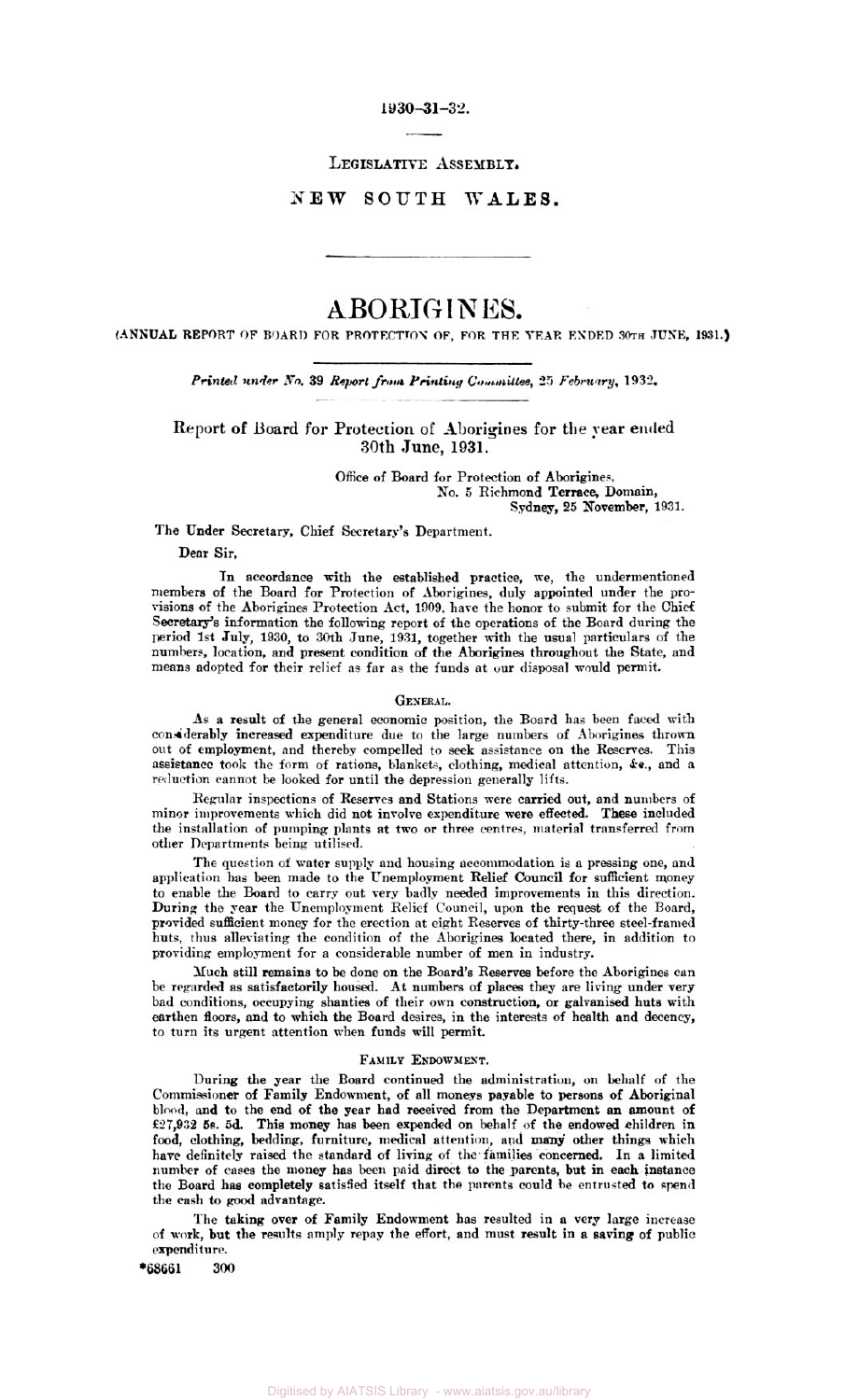**1930-31-32.** 

**LEGISLATIVE ASSEMBLY.** 

**NEW SOUTH WALES.** 

# ABORIG **IN ES.**

**(ANNUAL REPORT OF BOARD FOR PROTECTION OF, FOR THE YEAR ENDED 30th JUNE, 1931.)** 

Printed under No. 39 Report from Printing Committee, 25 February, 1932.

Report of **Board** for Protection of Aborigines for **the** year **ended**  30th June, **1931.** 

> Office of Board for Protection of Aborigines, *No. 5* Richmond Terrace, Domain, Sydney, **25** November, **1931.**

The Under Secretary, Chief Secretary's Department.

Dear Sir,

In accordance with the established practice, we, the undermentioned members of the Board for Protection of Aborigines, duly appointed under the provisions of the Aborigines Protection Act, **1909.** hare the honor to submit for the Chief **secretary's** information the following report of the operations of the Board during the period **1st** July, **1930,** to 30th June, **1931,** together with the usual particulars of the numbers, location, and present condition of the Aborigines throughout the State, and means adopted for their relief as far as the funds **at** our disposal would permit.

#### **GENERAL.**

**As a** result of the general economic position, the Board has been faced with considerably increased expenditure due to the large numbers of Aborigines thrown out of employment, and thereby compelled to **seek** assistance on the Reserves. This assistance took the form of rations, blankets, clothing, medical attention, *&c.,* and a reduction cannot be looked for until the depression generally lifts.

Regular inspections of Reserves and Stations were carried out, and numbers of minor improvements which did not involve expenditure were effected. These included the installation of pumping plants at two or three centres, material transferred from other Departments being utilised.

The question of water supply and housing accommodation is a pressing one, and application has been made to the Unemployment Relief Council for sufficient money to enable the Board to carry out very badly needed improvements in this direction. During the year the Unemployment Relief Council, upon the request of the Board, provided sufficient money for the erection at eight Reserves of thirty-three steel-framed huts, thus alleviating the condition of the Aborigines located there, in addition to providing employment for a considerable number of men in industry.

Much still remains to be done **on** the Board's Reserves before the Aborigines can be regarded **as** satisfactorily housed. At numbers of places they are living under very bad conditions, occupying shanties of their own construction, or galvanised huts with earthen floors, and to which the Board desires, in the interests of health and decency, to turn its urgent attention when funds will permit.

# FAMILY **ENDOWMENT.**

During the **year** the Board continued the administration, on behalf of the Commissioner of Family Endowment, of all moneys payable to persons of Aboriginal blood, and to the end of the year had received from the Department **an** amount of **£27,932 5s.** 5d. This money has been expended on behalf of the endowed children in food, clothing, bedding, furniture, medical attention, and **many** other things which have definitely raised the standard of living of the families .concerned. **In a** limited number of cases the money has been paid direct to the parents, but in each instance the Board has completely satisfied itself that the parents could be entrusted **to** spend the cash to good advantage.

The taking over of Family Endowment has resulted in a very large increase of **work,** but the results amply repay the effort, and must result in **a** saving of public expenditure.

**\*68661 300**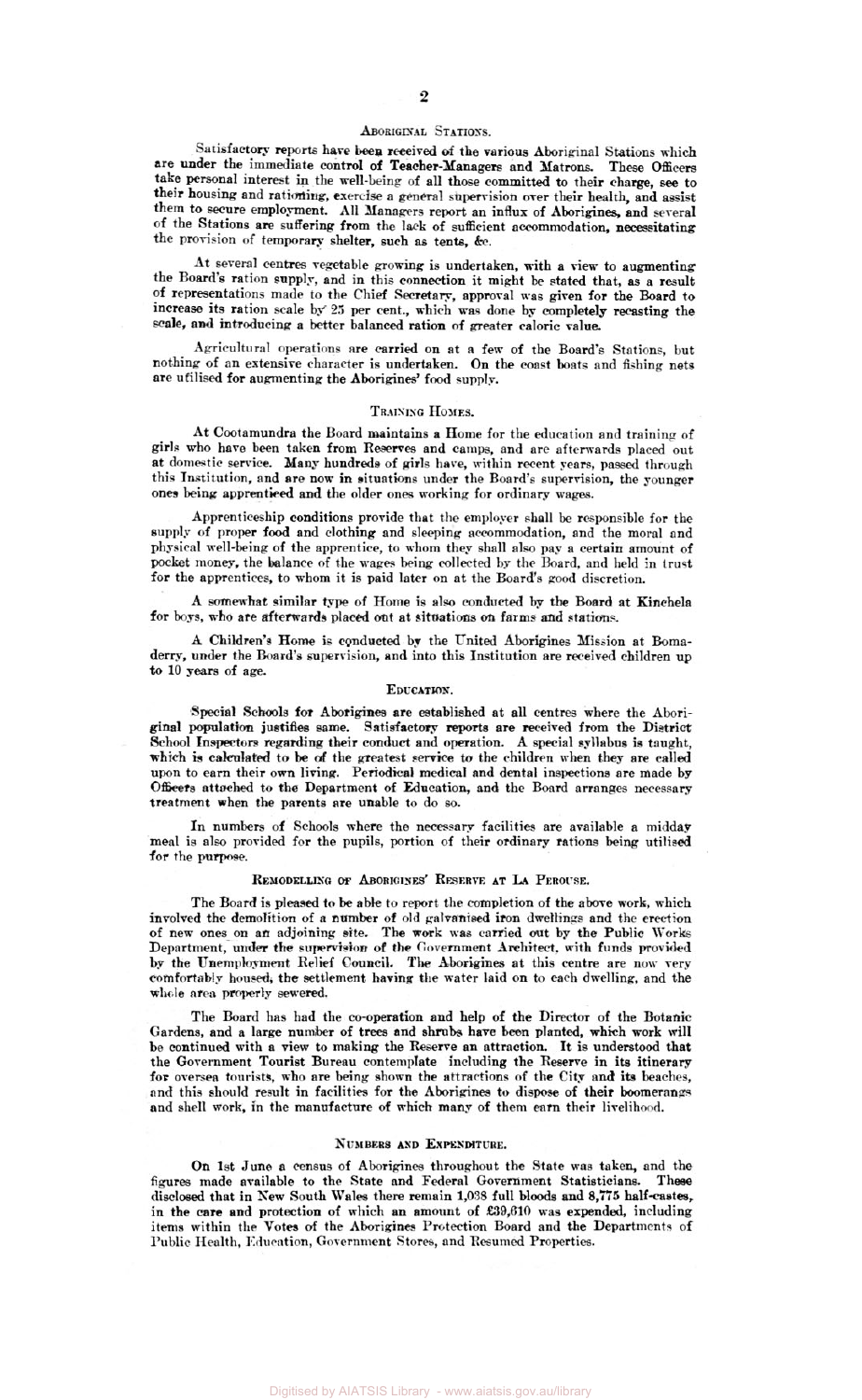### **ABORIGINAL STATIONS.**

Satisfactory reports have been received of the various Aboriginal Stations which are under the immediate **control** of Teacher-Managers and Matrons *These* **officers**  take personal interest in the well-being of all those committed to their charge, see to their housing and rationing, exercise a general supervision over their health, and assist them to secure employment. all Managers report an influx of Aborigines, and several of the Stations are suffering from the lark of sufficient accommodation, necessitating the provision of temporary shelter, such **as** tents, *&c* 

At several **centres** vegetable growing is undertaken, with a view to augmenting the **Board's** ration supply, and in this connection it might **be** stated that, **as** a result of representations made to the Chief Secretary, approval was given for the Board to increase its ration scale by **25** per cent., which **was** done by completely recasting the scale, and introducing a better balanced ration of greater caloric value.

Agricultural operations are carried on at **a** few of the Board's Stations, but nothing of an extensive character is undertaken. On the coast boats and fishing nets are ufilised for augmenting the Aborigines' food **supply.** 

# **TRAINING HOMES.**

**At** Cootamundra the Board maintains a Home for the education and training of girls who hare **been** taken from **Reserves** and camps, and are afterwards placed out at domestic service. Many hundreds of **girls** have, within recent years, passed through this Institution, and are now in situations under the Board's supervision, the younger **ones** being apprenticed **and** the older ones working for ordinary wages.

Apprenticeship conditions provide that the employer shall be responsible for the supply of proper food and clothing and sleeping accommodation, and the moral and physical well-being of the apprentice, to whom they shall also pay a certain amount of **pocket** money, the Balance of the wages being collected **by** the Board, and held in trust for the apprentices, **to** whom it is paid later on at the Board's *good* discretion.

A somewhat similar *type* of Home is also conducted **by** the Board at Kinchela for boys, who are afterwards placed out at situations *oh* farms **and stations.** 

A Children's Home is conducted by the United Aborigines Mission at Bomaderry, under the Board's supervision, and **into** this Institution are received children **up to 10 years** of age.

### **EDUCATION.**

**Special Schools far** Aborigines are established at all centres where the Aboriginal **population** justifies same. Satisfactory reports are *received* from the District School Inspectors **regarding their conduct** and operation. A special syllabus is taught, **which** is calculated to be *of* the greatest **service** to the children **when** they are called upon to earn their **own** living. Periodical medical and dental inspections are made by **Officers** attached to **the** Department of Education, and the Board arranges necessary treatment when the parents are unable to do *so.* 

In **numbers** of Schools where the **necessary** facilities are available a midday meal is also provided for the pupils, portion of their ordinary rations being utilised for the **purpose.** 

# REMODELLING **OF** ABORIGINES' RESERVE **AT LA** PEROUSE.

The Board is pleased to be able to report the completion of the above work, which involved the demolition of a number of old galvanised iron dwellings and the erection of new ones-on an adjoining site. **The work was** carried out by the Public **Works**  Department, **under** the **supervision** of the Government Architect. with funds provided **by** the Unemployment Relief Council, **The Aborigines** at this centre are now very **comfortably housed,** the settlement having the water laid on to each dwelling, and the **whole area properly** sewered.

The Board has had the co-operation and help of the Director of the **Botanic**  Gardens, and a large number of trees and **shrubs** have been planted, which work **will**  be continued with a view to making the Reserve an attraction. It is understood that the Government Tourist Bureau contemplate including the Reserve in its itinerary for oversea tourists, who are being shown the attractions of the City and its beaches, and this should result in facilities **for** the Aborigines to dispose of their boomerangs and shell work, in the manufacture *of* which many of them **earn** their livelihood.

### **NUMBERS AND EXPENDITURE.**

*On* 1st June **a** census of Aborigines throughout the State was taken, and the figures made available to the State and Federal Government Statisticians. These disclosed that in New South Wales there remain **1,038** full **Moods and** *8,775* **half-caates,**  in the care and protection of which an amount of £39,610 was expended, including items within the **Votes** *of* the Aborigines Protection Board and the Departments of Public Health, Education, Government Stores, and Resumed Properties.